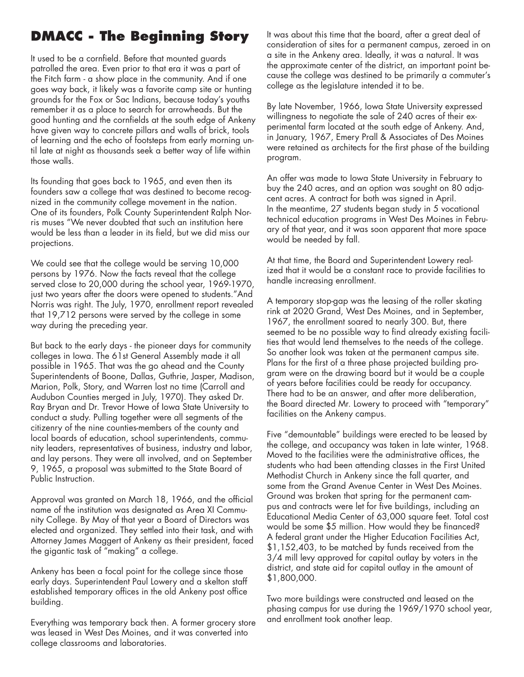## **DMACC - The Beginning Story**

It used to be a cornfield. Before that mounted guards patrolled the area. Even prior to that era it was a part of the Fitch farm - a show place in the community. And if one goes way back, it likely was a favorite camp site or hunting grounds for the Fox or Sac Indians, because today's youths remember it as a place to search for arrowheads. But the good hunting and the cornfields at the south edge of Ankeny have given way to concrete pillars and walls of brick, tools of learning and the echo of footsteps from early morning until late at night as thousands seek a better way of life within those walls.

Its founding that goes back to 1965, and even then its founders saw a college that was destined to become recognized in the community college movement in the nation. One of its founders, Polk County Superintendent Ralph Norris muses "We never doubted that such an institution here would be less than a leader in its field, but we did miss our projections.

We could see that the college would be serving 10,000 persons by 1976. Now the facts reveal that the college served close to 20,000 during the school year, 1969-1970, just two years after the doors were opened to students."And Norris was right. The July, 1970, enrollment report revealed that 19,712 persons were served by the college in some way during the preceding year.

But back to the earIy days - the pioneer days for community colleges in Iowa. The 61st General Assembly made it all possible in 1965. That was the go ahead and the County Superintendents of Boone, Dallas, Guthrie, Jasper, Madison, Marion, Polk, Story, and Warren lost no time (Carroll and Audubon Counties merged in July, 1970). They asked Dr. Ray Bryan and Dr. Trevor Howe of Iowa State University to conduct a study. Pulling together were all segments of the citizenry of the nine counties-members of the county and local boards of education, school superintendents, community leaders, representatives of business, industry and labor, and lay persons. They were all involved, and on September 9, 1965, a proposal was submitted to the State Board of Public Instruction.

Approval was granted on March 18, 1966, and the official name of the institution was designated as Area XI Community College. By May of that year a Board of Directors was elected and organized. They settled into their task, and with Attorney James Maggert of Ankeny as their president, faced the gigantic task of "making" a college.

Ankeny has been a focal point for the college since those early days. Superintendent Paul Lowery and a skelton staff established temporary offices in the old Ankeny post office building.

Everything was temporary back then. A former grocery store was leased in West Des Moines, and it was converted into college classrooms and laboratories.

It was about this time that the board, after a great deal of consideration of sites for a permanent campus, zeroed in on a site in the Ankeny area. Ideally, it was a natural. It was the approximate center of the district, an important point because the college was destined to be primarily a commuter's college as the legislature intended it to be.

By late November, 1966, Iowa State University expressed willingness to negotiate the sale of 240 acres of their experimental farm located at the south edge of Ankeny. And, in January, 1967, Emery Prall & Associates of Des Moines were retained as architects for the first phase of the building program.

An offer was made to Iowa State University in February to buy the 240 acres, and an option was sought on 80 adjacent acres. A contract for both was signed in April. In the meantime, 27 students began study in 5 vocational technical education programs in West Des Moines in February of that year, and it was soon apparent that more space would be needed by fall.

At that time, the Board and Superintendent Lowery realized that it would be a constant race to provide facilities to handle increasing enrollment.

A temporary stop-gap was the leasing of the roller skating rink at 2020 Grand, West Des Moines, and in September, 1967, the enrollment soared to nearly 300. But, there seemed to be no possible way to find already existing facilities that would lend themselves to the needs of the college. So another look was taken at the permanent campus site. Plans for the first of a three phase projected building program were on the drawing board but it would be a couple of years before facilities could be ready for occupancy. There had to be an answer, and after more deliberation, the Board directed Mr. Lowery to proceed with "temporary" facilities on the Ankeny campus.

Five "demountable" buildings were erected to be leased by the college, and occupancy was taken in late winter, 1968. Moved to the facilities were the administrative offices, the students who had been attending classes in the First United Methodist Church in Ankeny since the fall quarter, and some from the Grand Avenue Center in West Des Moines. Ground was broken that spring for the permanent campus and contracts were let for five buildings, including an Educational Media Center of 63,000 square feet. Total cost would be some \$5 million. How would they be financed? A federal grant under the Higher Education Facilities Act, \$1,152,403, to be matched by funds received from the 3/4 mill levy approved for capital outlay by voters in the district, and state aid for capital outlay in the amount of \$1,800,000.

Two more buildings were constructed and leased on the phasing campus for use during the 1969/1970 school year, and enrollment took another leap.